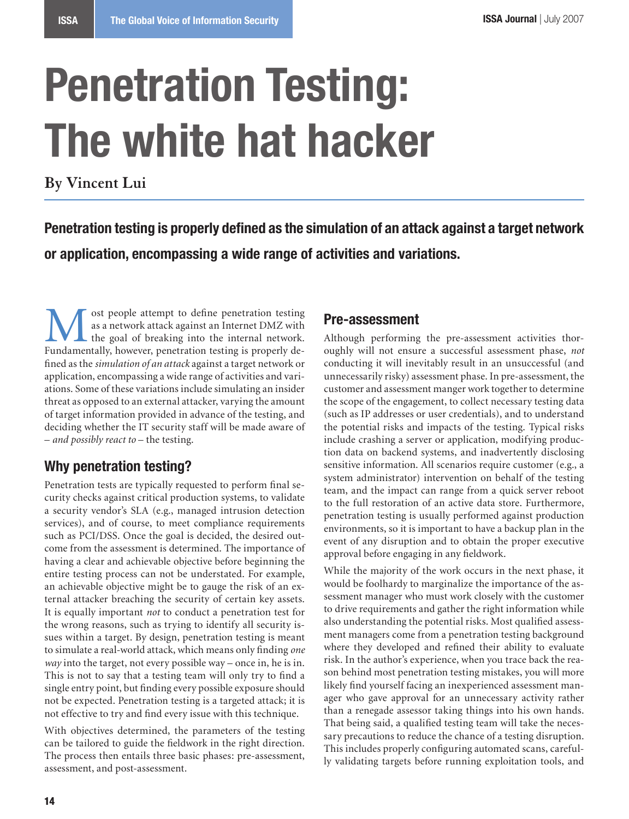# **Penetration Testing: The white hat hacker**

**By Vincent Lui**

**Penetration testing is properly defined as the simulation of an attack against a target network or application, encompassing a wide range of activities and variations.**

**M** ost people attempt to define penetration testing<br>as a network attack against an Internet DMZ with<br>the goal of breaking into the internal network.<br>Fundamentally however penetration testing is properly deas a network attack against an Internet DMZ with the goal of breaking into the internal network. Fundamentally, however, penetration testing is properly defined as the *simulation of an attack* against a target network or application, encompassing a wide range of activities and variations. Some of these variations include simulating an insider threat as opposed to an external attacker, varying the amount of target information provided in advance of the testing, and deciding whether the IT security staff will be made aware of – *and possibly react to* – the testing.

# **Why penetration testing?**

Penetration tests are typically requested to perform final security checks against critical production systems, to validate a security vendor's SLA (e.g., managed intrusion detection services), and of course, to meet compliance requirements such as PCI/DSS. Once the goal is decided, the desired outcome from the assessment is determined. The importance of having a clear and achievable objective before beginning the entire testing process can not be understated. For example, an achievable objective might be to gauge the risk of an external attacker breaching the security of certain key assets. It is equally important *not* to conduct a penetration test for the wrong reasons, such as trying to identify all security issues within a target. By design, penetration testing is meant to simulate a real-world attack, which means only finding *one way* into the target, not every possible way – once in, he is in. This is not to say that a testing team will only try to find a single entry point, but finding every possible exposure should not be expected. Penetration testing is a targeted attack; it is not effective to try and find every issue with this technique.

With objectives determined, the parameters of the testing can be tailored to guide the fieldwork in the right direction. The process then entails three basic phases: pre-assessment, assessment, and post-assessment.

### **Pre-assessment**

Although performing the pre-assessment activities thoroughly will not ensure a successful assessment phase, *not* conducting it will inevitably result in an unsuccessful (and unnecessarily risky) assessment phase. In pre-assessment, the customer and assessment manger work together to determine the scope of the engagement, to collect necessary testing data (such as IP addresses or user credentials), and to understand the potential risks and impacts of the testing. Typical risks include crashing a server or application, modifying production data on backend systems, and inadvertently disclosing sensitive information. All scenarios require customer (e.g., a system administrator) intervention on behalf of the testing team, and the impact can range from a quick server reboot to the full restoration of an active data store. Furthermore, penetration testing is usually performed against production environments, so it is important to have a backup plan in the event of any disruption and to obtain the proper executive approval before engaging in any fieldwork.

While the majority of the work occurs in the next phase, it would be foolhardy to marginalize the importance of the assessment manager who must work closely with the customer to drive requirements and gather the right information while also understanding the potential risks. Most qualified assessment managers come from a penetration testing background where they developed and refined their ability to evaluate risk. In the author's experience, when you trace back the reason behind most penetration testing mistakes, you will more likely find yourself facing an inexperienced assessment manager who gave approval for an unnecessary activity rather than a renegade assessor taking things into his own hands. That being said, a qualified testing team will take the necessary precautions to reduce the chance of a testing disruption. This includes properly configuring automated scans, carefully validating targets before running exploitation tools, and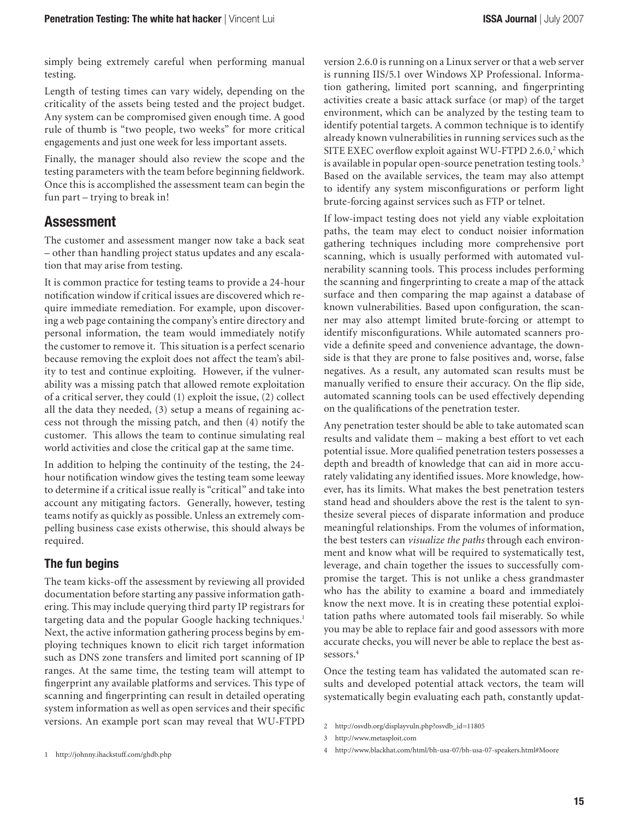simply being extremely careful when performing manual testing.

Length of testing times can vary widely, depending on the criticality of the assets being tested and the project budget. Any system can be compromised given enough time. A good rule of thumb is "two people, two weeks" for more critical engagements and just one week for less important assets.

Finally, the manager should also review the scope and the testing parameters with the team before beginning fieldwork. Once this is accomplished the assessment team can begin the fun part – trying to break in!

## **Assessment**

The customer and assessment manger now take a back seat – other than handling project status updates and any escalation that may arise from testing.

It is common practice for testing teams to provide a 24-hour notification window if critical issues are discovered which require immediate remediation. For example, upon discovering a web page containing the company's entire directory and personal information, the team would immediately notify the customer to remove it. This situation is a perfect scenario because removing the exploit does not affect the team's ability to test and continue exploiting. However, if the vulnerability was a missing patch that allowed remote exploitation of a critical server, they could (1) exploit the issue, (2) collect all the data they needed, (3) setup a means of regaining access not through the missing patch, and then (4) notify the customer. This allows the team to continue simulating real world activities and close the critical gap at the same time.

In addition to helping the continuity of the testing, the 24 hour notification window gives the testing team some leeway to determine if a critical issue really is "critical" and take into account any mitigating factors. Generally, however, testing teams notify as quickly as possible. Unless an extremely compelling business case exists otherwise, this should always be required.

#### **The fun begins**

The team kicks-off the assessment by reviewing all provided documentation before starting any passive information gathering. This may include querying third party IP registrars for targeting data and the popular Google hacking techniques. Next, the active information gathering process begins by employing techniques known to elicit rich target information such as DNS zone transfers and limited port scanning of IP ranges. At the same time, the testing team will attempt to fingerprint any available platforms and services. This type of scanning and fingerprinting can result in detailed operating system information as well as open services and their specific versions. An example port scan may reveal that WU-FTPD

version 2.6.0 is running on a Linux server or that a web server is running IIS/5.1 over Windows XP Professional. Information gathering, limited port scanning, and fingerprinting activities create a basic attack surface (or map) of the target environment, which can be analyzed by the testing team to identify potential targets. A common technique is to identify already known vulnerabilities in running services such as the SITE EXEC overflow exploit against WU-FTPD 2.6.0,<sup>2</sup> which is available in popular open-source penetration testing tools.<sup>3</sup> Based on the available services, the team may also attempt to identify any system misconfigurations or perform light brute-forcing against services such as FTP or telnet.

If low-impact testing does not yield any viable exploitation paths, the team may elect to conduct noisier information gathering techniques including more comprehensive port scanning, which is usually performed with automated vulnerability scanning tools. This process includes performing the scanning and fingerprinting to create a map of the attack surface and then comparing the map against a database of known vulnerabilities. Based upon configuration, the scanner may also attempt limited brute-forcing or attempt to identify misconfigurations. While automated scanners provide a definite speed and convenience advantage, the downside is that they are prone to false positives and, worse, false negatives. As a result, any automated scan results must be manually verified to ensure their accuracy. On the flip side, automated scanning tools can be used effectively depending on the qualifications of the penetration tester.

Any penetration tester should be able to take automated scan results and validate them – making a best effort to vet each potential issue. More qualified penetration testers possesses a depth and breadth of knowledge that can aid in more accurately validating any identified issues. More knowledge, however, has its limits. What makes the best penetration testers stand head and shoulders above the rest is the talent to synthesize several pieces of disparate information and produce meaningful relationships. From the volumes of information, the best testers can *visualize the paths* through each environment and know what will be required to systematically test, leverage, and chain together the issues to successfully compromise the target. This is not unlike a chess grandmaster who has the ability to examine a board and immediately know the next move. It is in creating these potential exploitation paths where automated tools fail miserably. So while you may be able to replace fair and good assessors with more accurate checks, you will never be able to replace the best assessors.

Once the testing team has validated the automated scan results and developed potential attack vectors, the team will systematically begin evaluating each path, constantly updat-

http://osvdb.org/displayvuln.php?osvdb\_id=11805

http://www.metasploit.com

http://johnny.ihackstuff.com/ghdb.php

http://www.blackhat.com/html/bh-usa-07/bh-usa-07-speakers.html#Moore